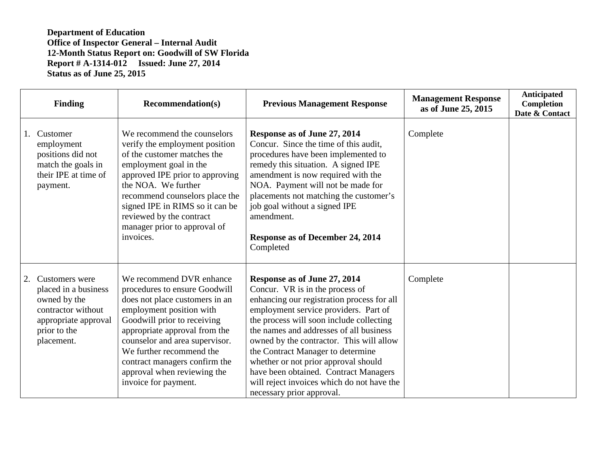|    | <b>Finding</b>                                                                                                                     | <b>Recommendation(s)</b>                                                                                                                                                                                                                                                                                                                      | <b>Previous Management Response</b>                                                                                                                                                                                                                                                                                                                                                                                                                                                        | <b>Management Response</b><br>as of June 25, 2015 | <b>Anticipated</b><br>Completion<br>Date & Contact |
|----|------------------------------------------------------------------------------------------------------------------------------------|-----------------------------------------------------------------------------------------------------------------------------------------------------------------------------------------------------------------------------------------------------------------------------------------------------------------------------------------------|--------------------------------------------------------------------------------------------------------------------------------------------------------------------------------------------------------------------------------------------------------------------------------------------------------------------------------------------------------------------------------------------------------------------------------------------------------------------------------------------|---------------------------------------------------|----------------------------------------------------|
| 1. | Customer<br>employment<br>positions did not<br>match the goals in<br>their IPE at time of<br>payment.                              | We recommend the counselors<br>verify the employment position<br>of the customer matches the<br>employment goal in the<br>approved IPE prior to approving<br>the NOA. We further<br>recommend counselors place the<br>signed IPE in RIMS so it can be<br>reviewed by the contract<br>manager prior to approval of<br>invoices.                | Response as of June 27, 2014<br>Concur. Since the time of this audit,<br>procedures have been implemented to<br>remedy this situation. A signed IPE<br>amendment is now required with the<br>NOA. Payment will not be made for<br>placements not matching the customer's<br>job goal without a signed IPE<br>amendment.<br>Response as of December 24, 2014<br>Completed                                                                                                                   | Complete                                          |                                                    |
| 2. | Customers were<br>placed in a business<br>owned by the<br>contractor without<br>appropriate approval<br>prior to the<br>placement. | We recommend DVR enhance<br>procedures to ensure Goodwill<br>does not place customers in an<br>employment position with<br>Goodwill prior to receiving<br>appropriate approval from the<br>counselor and area supervisor.<br>We further recommend the<br>contract managers confirm the<br>approval when reviewing the<br>invoice for payment. | Response as of June 27, 2014<br>Concur. VR is in the process of<br>enhancing our registration process for all<br>employment service providers. Part of<br>the process will soon include collecting<br>the names and addresses of all business<br>owned by the contractor. This will allow<br>the Contract Manager to determine<br>whether or not prior approval should<br>have been obtained. Contract Managers<br>will reject invoices which do not have the<br>necessary prior approval. | Complete                                          |                                                    |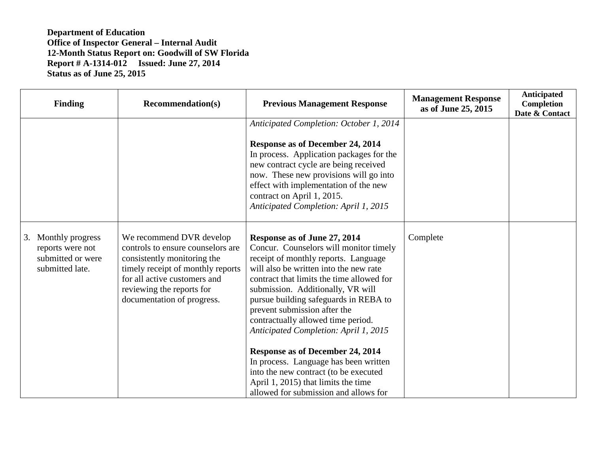| <b>Finding</b>                                                                  | <b>Recommendation(s)</b>                                                                                                                                                                                                     | <b>Previous Management Response</b>                                                                                                                                                                                                                                                                                                                                                                                                                                                                                                                                                                      | <b>Management Response</b><br>as of June 25, 2015 | <b>Anticipated</b><br>Completion<br>Date & Contact |
|---------------------------------------------------------------------------------|------------------------------------------------------------------------------------------------------------------------------------------------------------------------------------------------------------------------------|----------------------------------------------------------------------------------------------------------------------------------------------------------------------------------------------------------------------------------------------------------------------------------------------------------------------------------------------------------------------------------------------------------------------------------------------------------------------------------------------------------------------------------------------------------------------------------------------------------|---------------------------------------------------|----------------------------------------------------|
|                                                                                 |                                                                                                                                                                                                                              | Anticipated Completion: October 1, 2014<br><b>Response as of December 24, 2014</b><br>In process. Application packages for the<br>new contract cycle are being received<br>now. These new provisions will go into<br>effect with implementation of the new<br>contract on April 1, 2015.<br>Anticipated Completion: April 1, 2015                                                                                                                                                                                                                                                                        |                                                   |                                                    |
| 3. Monthly progress<br>reports were not<br>submitted or were<br>submitted late. | We recommend DVR develop<br>controls to ensure counselors are<br>consistently monitoring the<br>timely receipt of monthly reports<br>for all active customers and<br>reviewing the reports for<br>documentation of progress. | Response as of June 27, 2014<br>Concur. Counselors will monitor timely<br>receipt of monthly reports. Language<br>will also be written into the new rate<br>contract that limits the time allowed for<br>submission. Additionally, VR will<br>pursue building safeguards in REBA to<br>prevent submission after the<br>contractually allowed time period.<br>Anticipated Completion: April 1, 2015<br>Response as of December 24, 2014<br>In process. Language has been written<br>into the new contract (to be executed<br>April 1, 2015) that limits the time<br>allowed for submission and allows for | Complete                                          |                                                    |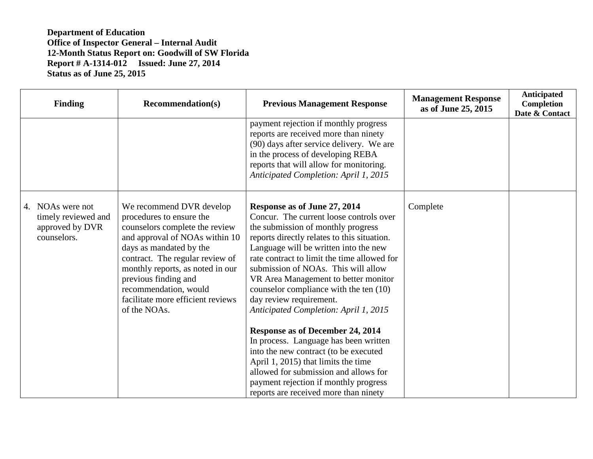| <b>Finding</b>                                                            | <b>Recommendation(s)</b>                                                                                                                                                                                                                                                                                                         | <b>Previous Management Response</b>                                                                                                                                                                                                                                                                                                                                                                                                               | <b>Management Response</b><br>as of June 25, 2015 | Anticipated<br>Completion<br>Date & Contact |
|---------------------------------------------------------------------------|----------------------------------------------------------------------------------------------------------------------------------------------------------------------------------------------------------------------------------------------------------------------------------------------------------------------------------|---------------------------------------------------------------------------------------------------------------------------------------------------------------------------------------------------------------------------------------------------------------------------------------------------------------------------------------------------------------------------------------------------------------------------------------------------|---------------------------------------------------|---------------------------------------------|
|                                                                           |                                                                                                                                                                                                                                                                                                                                  | payment rejection if monthly progress<br>reports are received more than ninety<br>(90) days after service delivery. We are<br>in the process of developing REBA<br>reports that will allow for monitoring.<br>Anticipated Completion: April 1, 2015                                                                                                                                                                                               |                                                   |                                             |
| 4. NOAs were not<br>timely reviewed and<br>approved by DVR<br>counselors. | We recommend DVR develop<br>procedures to ensure the<br>counselors complete the review<br>and approval of NOAs within 10<br>days as mandated by the<br>contract. The regular review of<br>monthly reports, as noted in our<br>previous finding and<br>recommendation, would<br>facilitate more efficient reviews<br>of the NOAs. | Response as of June 27, 2014<br>Concur. The current loose controls over<br>the submission of monthly progress<br>reports directly relates to this situation.<br>Language will be written into the new<br>rate contract to limit the time allowed for<br>submission of NOAs. This will allow<br>VR Area Management to better monitor<br>counselor compliance with the ten (10)<br>day review requirement.<br>Anticipated Completion: April 1, 2015 | Complete                                          |                                             |
|                                                                           |                                                                                                                                                                                                                                                                                                                                  | <b>Response as of December 24, 2014</b><br>In process. Language has been written<br>into the new contract (to be executed<br>April 1, 2015) that limits the time<br>allowed for submission and allows for<br>payment rejection if monthly progress<br>reports are received more than ninety                                                                                                                                                       |                                                   |                                             |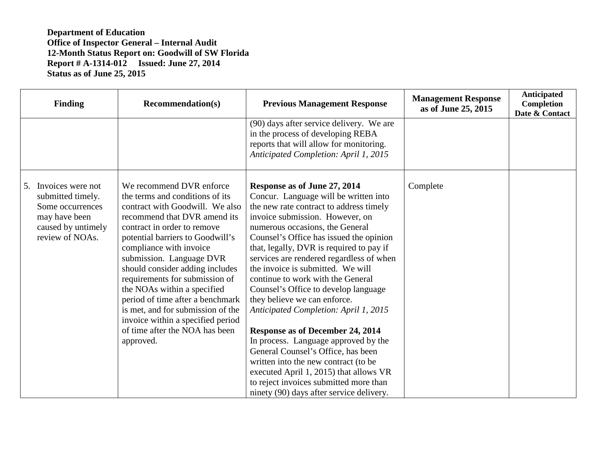| <b>Finding</b>                                                                                                          | <b>Recommendation(s)</b>                                                                                                                                                                                                                                                                                                                                                                                                                                                                                                  | <b>Previous Management Response</b>                                                                                                                                                                                                                                                                                                                                                                                                                                                                                                                                                                                                                                                                                                                                                                            | <b>Management Response</b><br>as of June 25, 2015 | <b>Anticipated</b><br>Completion<br>Date & Contact |
|-------------------------------------------------------------------------------------------------------------------------|---------------------------------------------------------------------------------------------------------------------------------------------------------------------------------------------------------------------------------------------------------------------------------------------------------------------------------------------------------------------------------------------------------------------------------------------------------------------------------------------------------------------------|----------------------------------------------------------------------------------------------------------------------------------------------------------------------------------------------------------------------------------------------------------------------------------------------------------------------------------------------------------------------------------------------------------------------------------------------------------------------------------------------------------------------------------------------------------------------------------------------------------------------------------------------------------------------------------------------------------------------------------------------------------------------------------------------------------------|---------------------------------------------------|----------------------------------------------------|
|                                                                                                                         |                                                                                                                                                                                                                                                                                                                                                                                                                                                                                                                           | (90) days after service delivery. We are<br>in the process of developing REBA<br>reports that will allow for monitoring.<br>Anticipated Completion: April 1, 2015                                                                                                                                                                                                                                                                                                                                                                                                                                                                                                                                                                                                                                              |                                                   |                                                    |
| 5. Invoices were not<br>submitted timely.<br>Some occurrences<br>may have been<br>caused by untimely<br>review of NOAs. | We recommend DVR enforce<br>the terms and conditions of its<br>contract with Goodwill. We also<br>recommend that DVR amend its<br>contract in order to remove<br>potential barriers to Goodwill's<br>compliance with invoice<br>submission. Language DVR<br>should consider adding includes<br>requirements for submission of<br>the NOAs within a specified<br>period of time after a benchmark<br>is met, and for submission of the<br>invoice within a specified period<br>of time after the NOA has been<br>approved. | Response as of June 27, 2014<br>Concur. Language will be written into<br>the new rate contract to address timely<br>invoice submission. However, on<br>numerous occasions, the General<br>Counsel's Office has issued the opinion<br>that, legally, DVR is required to pay if<br>services are rendered regardless of when<br>the invoice is submitted. We will<br>continue to work with the General<br>Counsel's Office to develop language<br>they believe we can enforce.<br>Anticipated Completion: April 1, 2015<br>Response as of December 24, 2014<br>In process. Language approved by the<br>General Counsel's Office, has been<br>written into the new contract (to be<br>executed April 1, 2015) that allows VR<br>to reject invoices submitted more than<br>ninety (90) days after service delivery. | Complete                                          |                                                    |